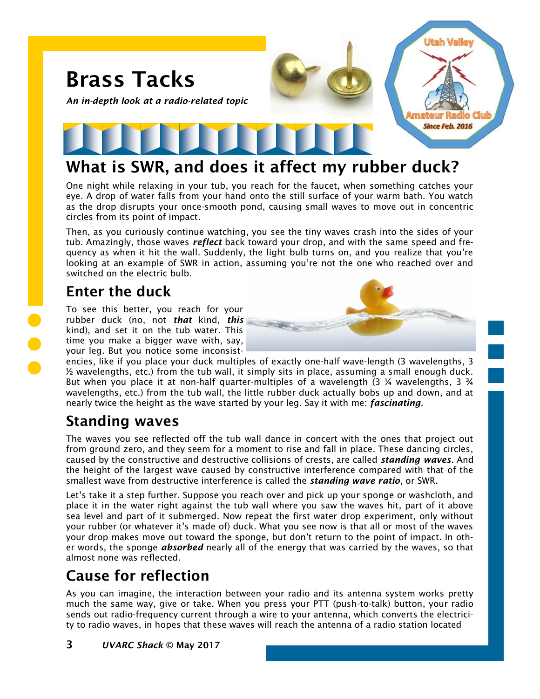

## What is SWR, and does it affect my rubber duck?

One night while relaxing in your tub, you reach for the faucet, when something catches your eye. A drop of water falls from your hand onto the still surface of your warm bath. You watch as the drop disrupts your once-smooth pond, causing small waves to move out in concentric circles from its point of impact.

Then, as you curiously continue watching, you see the tiny waves crash into the sides of your tub. Amazingly, those waves *reflect* back toward your drop, and with the same speed and frequency as when it hit the wall. Suddenly, the light bulb turns on, and you realize that you're looking at an example of SWR in action, assuming you're not the one who reached over and switched on the electric bulb.

## Enter the duck

To see this better, you reach for your rubber duck (no, not *that* kind, *this* kind), and set it on the tub water. This time you make a bigger wave with, say, your leg. But you notice some inconsist-



encies, like if you place your duck multiples of exactly one-half wave-length (3 wavelengths, 3 ½ wavelengths, etc.) from the tub wall, it simply sits in place, assuming a small enough duck. But when you place it at non-half quarter-multiples of a wavelength (3 ¼ wavelengths, 3 ¾ wavelengths, etc.) from the tub wall, the little rubber duck actually bobs up and down, and at nearly twice the height as the wave started by your leg. Say it with me: *fascinating*.

## Standing waves

The waves you see reflected off the tub wall dance in concert with the ones that project out from ground zero, and they seem for a moment to rise and fall in place. These dancing circles, caused by the constructive and destructive collisions of crests, are called *standing waves*. And the height of the largest wave caused by constructive interference compared with that of the smallest wave from destructive interference is called the *standing wave ratio*, or SWR.

Let's take it a step further. Suppose you reach over and pick up your sponge or washcloth, and place it in the water right against the tub wall where you saw the waves hit, part of it above sea level and part of it submerged. Now repeat the first water drop experiment, only without your rubber (or whatever it's made of) duck. What you see now is that all or most of the waves your drop makes move out toward the sponge, but don't return to the point of impact. In other words, the sponge *absorbed* nearly all of the energy that was carried by the waves, so that almost none was reflected.

# Cause for reflection

As you can imagine, the interaction between your radio and its antenna system works pretty much the same way, give or take. When you press your PTT (push-to-talk) button, your radio sends out radio-frequency current through a wire to your antenna, which converts the electricity to radio waves, in hopes that these waves will reach the antenna of a radio station located